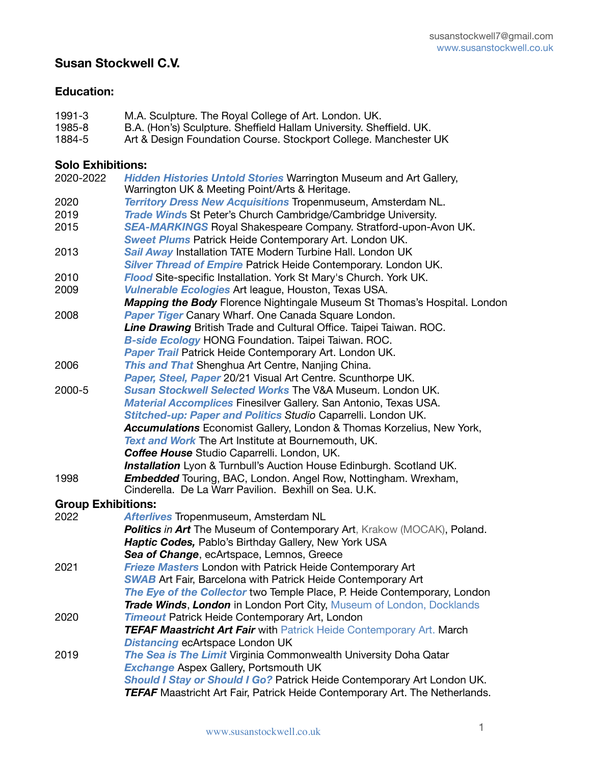# **Susan Stockwell C.V.**

# **Education:**

| 1991-3                    | M.A. Sculpture. The Royal College of Art. London. UK.                              |
|---------------------------|------------------------------------------------------------------------------------|
| 1985-8                    | B.A. (Hon's) Sculpture. Sheffield Hallam University. Sheffield. UK.                |
| 1884-5                    | Art & Design Foundation Course. Stockport College. Manchester UK                   |
| <b>Solo Exhibitions:</b>  |                                                                                    |
| 2020-2022                 | <b>Hidden Histories Untold Stories Warrington Museum and Art Gallery,</b>          |
|                           | Warrington UK & Meeting Point/Arts & Heritage.                                     |
| 2020                      | Territory Dress New Acquisitions Tropenmuseum, Amsterdam NL.                       |
| 2019                      | Trade Winds St Peter's Church Cambridge/Cambridge University.                      |
| 2015                      | <b>SEA-MARKINGS</b> Royal Shakespeare Company. Stratford-upon-Avon UK.             |
|                           | Sweet Plums Patrick Heide Contemporary Art. London UK.                             |
| 2013                      | Sail Away Installation TATE Modern Turbine Hall. London UK                         |
|                           | Silver Thread of Empire Patrick Heide Contemporary. London UK.                     |
| 2010                      | <b>Flood</b> Site-specific Installation. York St Mary's Church. York UK.           |
| 2009                      | Vulnerable Ecologies Art league, Houston, Texas USA.                               |
|                           | <b>Mapping the Body</b> Florence Nightingale Museum St Thomas's Hospital. London   |
| 2008                      | Paper Tiger Canary Wharf. One Canada Square London.                                |
|                           | Line Drawing British Trade and Cultural Office. Taipei Taiwan. ROC.                |
|                           | <b>B-side Ecology HONG Foundation. Taipei Taiwan. ROC.</b>                         |
|                           | Paper Trail Patrick Heide Contemporary Art. London UK.                             |
| 2006                      | This and That Shenghua Art Centre, Nanjing China.                                  |
|                           | Paper, Steel, Paper 20/21 Visual Art Centre. Scunthorpe UK.                        |
| 2000-5                    | Susan Stockwell Selected Works The V&A Museum. London UK.                          |
|                           | <b>Material Accomplices Finesilver Gallery. San Antonio, Texas USA.</b>            |
|                           | Stitched-up: Paper and Politics Studio Caparrelli. London UK.                      |
|                           | <b>Accumulations</b> Economist Gallery, London & Thomas Korzelius, New York,       |
|                           | Text and Work The Art Institute at Bournemouth, UK.                                |
|                           | Coffee House Studio Caparrelli. London, UK.                                        |
|                           | <b>Installation</b> Lyon & Turnbull's Auction House Edinburgh. Scotland UK.        |
| 1998                      | <b>Embedded</b> Touring, BAC, London. Angel Row, Nottingham. Wrexham,              |
|                           | Cinderella. De La Warr Pavilion. Bexhill on Sea. U.K.                              |
| <b>Group Exhibitions:</b> |                                                                                    |
| 2022                      | Afterlives Tropenmuseum, Amsterdam NL                                              |
|                           | Politics in Art The Museum of Contemporary Art, Krakow (MOCAK), Poland.            |
|                           | Haptic Codes, Pablo's Birthday Gallery, New York USA                               |
|                           | Sea of Change, ecArtspace, Lemnos, Greece                                          |
| 2021                      | <b>Frieze Masters London with Patrick Heide Contemporary Art</b>                   |
|                           | <b>SWAB</b> Art Fair, Barcelona with Patrick Heide Contemporary Art                |
|                           | The Eye of the Collector two Temple Place, P. Heide Contemporary, London           |
|                           | Trade Winds, London in London Port City, Museum of London, Docklands               |
| 2020                      | <b>Timeout</b> Patrick Heide Contemporary Art, London                              |
|                           | <b>TEFAF Maastricht Art Fair</b> with Patrick Heide Contemporary Art. March        |
|                           | <b>Distancing ecArtspace London UK</b>                                             |
| 2019                      | The Sea is The Limit Virginia Commonwealth University Doha Qatar                   |
|                           | <b>Exchange Aspex Gallery, Portsmouth UK</b>                                       |
|                           | Should I Stay or Should I Go? Patrick Heide Contemporary Art London UK.            |
|                           | <b>TEFAF</b> Maastricht Art Fair, Patrick Heide Contemporary Art. The Netherlands. |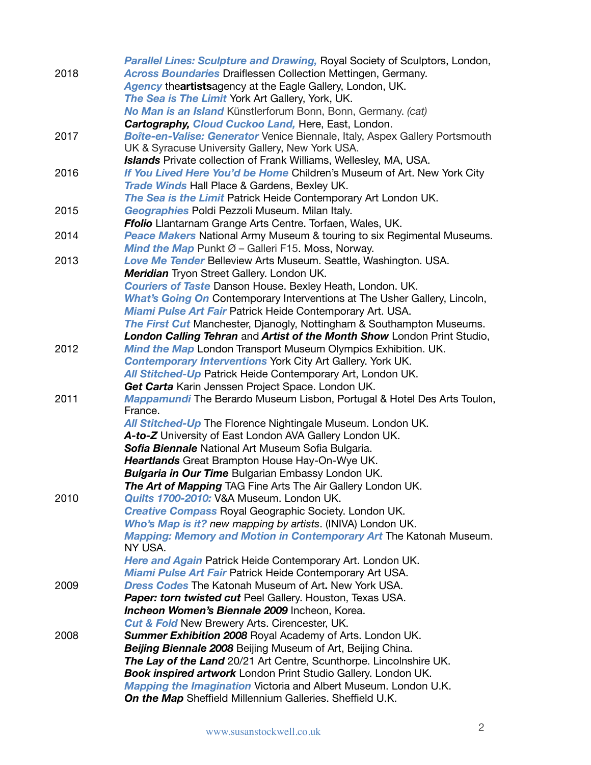|      | Parallel Lines: Sculpture and Drawing, Royal Society of Sculptors, London,      |
|------|---------------------------------------------------------------------------------|
| 2018 | <b>Across Boundaries Draiflessen Collection Mettingen, Germany.</b>             |
|      | Agency theartistsagency at the Eagle Gallery, London, UK.                       |
|      | The Sea is The Limit York Art Gallery, York, UK.                                |
|      | No Man is an Island Künstlerforum Bonn, Bonn, Germany. (cat)                    |
|      | Cartography, Cloud Cuckoo Land, Here, East, London.                             |
| 2017 | Boîte-en-Valise: Generator Venice Biennale, Italy, Aspex Gallery Portsmouth     |
|      | UK & Syracuse University Gallery, New York USA.                                 |
|      | <b>Islands</b> Private collection of Frank Williams, Wellesley, MA, USA.        |
| 2016 | If You Lived Here You'd be Home Children's Museum of Art. New York City         |
|      | Trade Winds Hall Place & Gardens, Bexley UK.                                    |
|      |                                                                                 |
|      | The Sea is the Limit Patrick Heide Contemporary Art London UK.                  |
| 2015 | Geographies Poldi Pezzoli Museum. Milan Italy.                                  |
|      | Ffolio Llantarnam Grange Arts Centre. Torfaen, Wales, UK.                       |
| 2014 | Peace Makers National Army Museum & touring to six Regimental Museums.          |
|      | <b>Mind the Map Punkt <math>\varnothing</math> – Galleri F15. Moss, Norway.</b> |
| 2013 | Love Me Tender Belleview Arts Museum. Seattle, Washington. USA.                 |
|      | <b>Meridian</b> Tryon Street Gallery. London UK.                                |
|      | <b>Couriers of Taste Danson House. Bexley Heath, London. UK.</b>                |
|      | What's Going On Contemporary Interventions at The Usher Gallery, Lincoln,       |
|      | Miami Pulse Art Fair Patrick Heide Contemporary Art. USA.                       |
|      | <b>The First Cut</b> Manchester, Djanogly, Nottingham & Southampton Museums.    |
|      | London Calling Tehran and Artist of the Month Show London Print Studio,         |
| 2012 | <b>Mind the Map London Transport Museum Olympics Exhibition. UK.</b>            |
|      | <b>Contemporary Interventions York City Art Gallery. York UK.</b>               |
|      | All Stitched-Up Patrick Heide Contemporary Art, London UK.                      |
|      | Get Carta Karin Jenssen Project Space. London UK.                               |
| 2011 | Mappamundi The Berardo Museum Lisbon, Portugal & Hotel Des Arts Toulon,         |
|      | France.                                                                         |
|      | All Stitched-Up The Florence Nightingale Museum. London UK.                     |
|      | A-to-Z University of East London AVA Gallery London UK.                         |
|      | Sofia Biennale National Art Museum Sofia Bulgaria.                              |
|      | Heartlands Great Brampton House Hay-On-Wye UK.                                  |
|      | <b>Bulgaria in Our Time Bulgarian Embassy London UK.</b>                        |
|      | The Art of Mapping TAG Fine Arts The Air Gallery London UK.                     |
| 2010 | Quilts 1700-2010: V&A Museum. London UK.                                        |
|      | <b>Creative Compass Royal Geographic Society. London UK.</b>                    |
|      | Who's Map is it? new mapping by artists. (INIVA) London UK.                     |
|      | Mapping: Memory and Motion in Contemporary Art The Katonah Museum.              |
|      | NY USA.                                                                         |
|      | Here and Again Patrick Heide Contemporary Art. London UK.                       |
|      | Miami Pulse Art Fair Patrick Heide Contemporary Art USA.                        |
| 2009 | <b>Dress Codes The Katonah Museum of Art. New York USA.</b>                     |
|      | Paper: torn twisted cut Peel Gallery. Houston, Texas USA.                       |
|      | Incheon Women's Biennale 2009 Incheon, Korea.                                   |
|      | <b>Cut &amp; Fold New Brewery Arts. Cirencester, UK.</b>                        |
| 2008 | <b>Summer Exhibition 2008</b> Royal Academy of Arts. London UK.                 |
|      | Beijing Biennale 2008 Beijing Museum of Art, Beijing China.                     |
|      | The Lay of the Land 20/21 Art Centre, Scunthorpe. Lincolnshire UK.              |
|      | <b>Book inspired artwork</b> London Print Studio Gallery. London UK.            |
|      | Mapping the Imagination Victoria and Albert Museum. London U.K.                 |
|      | On the Map Sheffield Millennium Galleries. Sheffield U.K.                       |
|      |                                                                                 |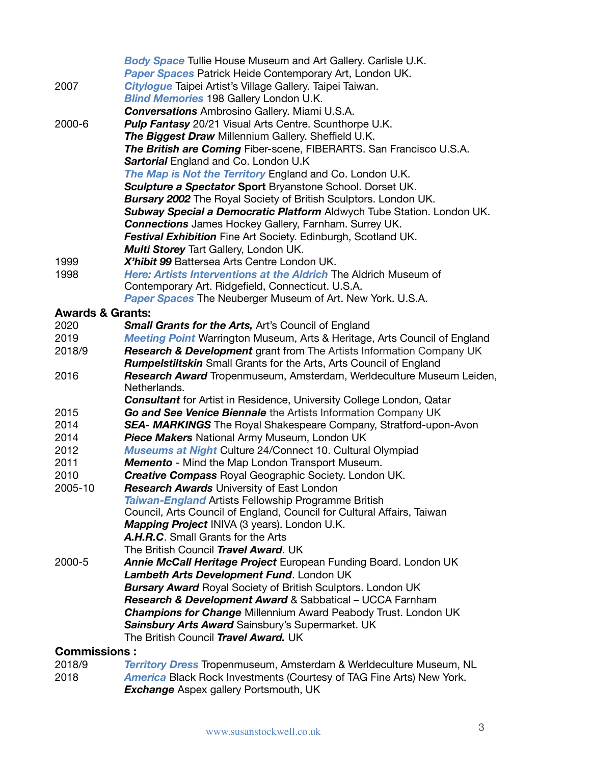|                             | <b>Body Space Tullie House Museum and Art Gallery. Carlisle U.K.</b>                     |
|-----------------------------|------------------------------------------------------------------------------------------|
|                             | Paper Spaces Patrick Heide Contemporary Art, London UK.                                  |
| 2007                        | Citylogue Taipei Artist's Village Gallery. Taipei Taiwan.                                |
|                             | <b>Blind Memories 198 Gallery London U.K.</b>                                            |
|                             | <b>Conversations</b> Ambrosino Gallery. Miami U.S.A.                                     |
| 2000-6                      | Pulp Fantasy 20/21 Visual Arts Centre. Scunthorpe U.K.                                   |
|                             | The Biggest Draw Millennium Gallery. Sheffield U.K.                                      |
|                             | The British are Coming Fiber-scene, FIBERARTS. San Francisco U.S.A.                      |
|                             | Sartorial England and Co. London U.K                                                     |
|                             | The Map is Not the Territory England and Co. London U.K.                                 |
|                             | Sculpture a Spectator Sport Bryanstone School. Dorset UK.                                |
|                             | <b>Bursary 2002</b> The Royal Society of British Sculptors. London UK.                   |
|                             | Subway Special a Democratic Platform Aldwych Tube Station. London UK.                    |
|                             | <b>Connections</b> James Hockey Gallery, Farnham. Surrey UK.                             |
|                             | Festival Exhibition Fine Art Society. Edinburgh, Scotland UK.                            |
|                             | Multi Storey Tart Gallery, London UK.                                                    |
| 1999                        | X'hibit 99 Battersea Arts Centre London UK.                                              |
| 1998                        | Here: Artists Interventions at the Aldrich The Aldrich Museum of                         |
|                             | Contemporary Art. Ridgefield, Connecticut. U.S.A.                                        |
|                             | Paper Spaces The Neuberger Museum of Art. New York. U.S.A.                               |
| <b>Awards &amp; Grants:</b> |                                                                                          |
| 2020                        | <b>Small Grants for the Arts, Art's Council of England</b>                               |
| 2019                        | Meeting Point Warrington Museum, Arts & Heritage, Arts Council of England                |
| 2018/9                      | <b>Research &amp; Development</b> grant from The Artists Information Company UK          |
|                             | <b>Rumpelstiltskin</b> Small Grants for the Arts, Arts Council of England                |
| 2016                        | Research Award Tropenmuseum, Amsterdam, Werldeculture Museum Leiden,<br>Netherlands.     |
|                             | <b>Consultant</b> for Artist in Residence, University College London, Qatar              |
| 2015                        | Go and See Venice Biennale the Artists Information Company UK                            |
| 2014                        | <b>SEA- MARKINGS</b> The Royal Shakespeare Company, Stratford-upon-Avon                  |
| 2014                        | Piece Makers National Army Museum, London UK                                             |
| 2012                        | <b>Museums at Night Culture 24/Connect 10. Cultural Olympiad</b>                         |
| 2011                        | <b>Memento</b> - Mind the Map London Transport Museum.                                   |
| 2010                        | <b>Creative Compass Royal Geographic Society. London UK.</b>                             |
| 2005-10                     | <b>Research Awards University of East London</b>                                         |
|                             | <b>Taiwan-England Artists Fellowship Programme British</b>                               |
|                             | Council, Arts Council of England, Council for Cultural Affairs, Taiwan                   |
|                             | Mapping Project INIVA (3 years). London U.K.                                             |
|                             | A.H.R.C. Small Grants for the Arts                                                       |
|                             | The British Council Travel Award. UK                                                     |
| 2000-5                      | Annie McCall Heritage Project European Funding Board. London UK                          |
|                             | Lambeth Arts Development Fund. London UK                                                 |
|                             | <b>Bursary Award Royal Society of British Sculptors. London UK</b>                       |
|                             | <b>Research &amp; Development Award &amp; Sabbatical - UCCA Farnham</b>                  |
|                             | <b>Champions for Change Millennium Award Peabody Trust. London UK</b>                    |
|                             | Sainsbury Arts Award Sainsbury's Supermarket. UK<br>The British Council Travel Award. UK |
|                             |                                                                                          |
| <b>Commissions:</b>         |                                                                                          |
| 2018/9                      | <b>Territory Dress Tropenmuseum, Amsterdam &amp; Werldeculture Museum, NL</b>            |

| 2018 | America Black Rock Investments (Courtesy of TAG Fine Arts) New York. |
|------|----------------------------------------------------------------------|
|      | <b>Exchange</b> Aspex gallery Portsmouth, UK                         |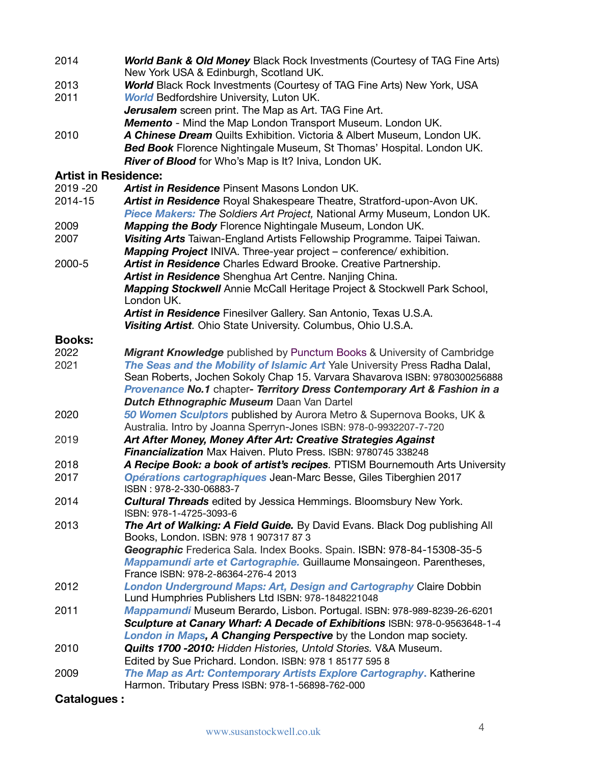| 2014                        | <b>World Bank &amp; Old Money</b> Black Rock Investments (Courtesy of TAG Fine Arts)<br>New York USA & Edinburgh, Scotland UK.  |
|-----------------------------|---------------------------------------------------------------------------------------------------------------------------------|
| 2013<br>2011                | World Black Rock Investments (Courtesy of TAG Fine Arts) New York, USA<br><b>World Bedfordshire University, Luton UK.</b>       |
|                             | <b>Jerusalem</b> screen print. The Map as Art. TAG Fine Art.                                                                    |
|                             | <b>Memento</b> - Mind the Map London Transport Museum. London UK.                                                               |
| 2010                        | A Chinese Dream Quilts Exhibition. Victoria & Albert Museum, London UK.                                                         |
|                             | <b>Bed Book</b> Florence Nightingale Museum, St Thomas' Hospital. London UK.                                                    |
|                             | <b>River of Blood</b> for Who's Map is It? Iniva, London UK.                                                                    |
| <b>Artist in Residence:</b> |                                                                                                                                 |
| 2019 - 20                   | <b>Artist in Residence Pinsent Masons London UK.</b>                                                                            |
| 2014-15                     | Artist in Residence Royal Shakespeare Theatre, Stratford-upon-Avon UK.                                                          |
|                             | Piece Makers: The Soldiers Art Project, National Army Museum, London UK.                                                        |
| 2009                        | <b>Mapping the Body Florence Nightingale Museum, London UK.</b>                                                                 |
| 2007                        | Visiting Arts Taiwan-England Artists Fellowship Programme. Taipei Taiwan.                                                       |
|                             | <b>Mapping Project INIVA.</b> Three-year project – conference/ exhibition.                                                      |
| 2000-5                      | Artist in Residence Charles Edward Brooke. Creative Partnership.                                                                |
|                             | Artist in Residence Shenghua Art Centre. Nanjing China.                                                                         |
|                             | Mapping Stockwell Annie McCall Heritage Project & Stockwell Park School,<br>London UK.                                          |
|                             | Artist in Residence Finesilver Gallery. San Antonio, Texas U.S.A.                                                               |
|                             | Visiting Artist. Ohio State University. Columbus, Ohio U.S.A.                                                                   |
| <b>Books:</b>               |                                                                                                                                 |
| 2022                        | <b>Migrant Knowledge</b> published by Punctum Books & University of Cambridge                                                   |
| 2021                        | The Seas and the Mobility of Islamic Art Yale University Press Radha Dalal,                                                     |
|                             | Sean Roberts, Jochen Sokoly Chap 15. Varvara Shavarova ISBN: 9780300256888                                                      |
|                             | Provenance No.1 chapter- Territory Dress Contemporary Art & Fashion in a                                                        |
|                             | <b>Dutch Ethnographic Museum Daan Van Dartel</b>                                                                                |
| 2020                        | 50 Women Sculptors published by Aurora Metro & Supernova Books, UK &                                                            |
|                             | Australia. Intro by Joanna Sperryn-Jones ISBN: 978-0-9932207-7-720                                                              |
| 2019                        | Art After Money, Money After Art: Creative Strategies Against<br>Financialization Max Haiven. Pluto Press. ISBN: 9780745 338248 |
| 2018                        | A Recipe Book: a book of artist's recipes. PTISM Bournemouth Arts University                                                    |
| 2017                        | Opérations cartographiques Jean-Marc Besse, Giles Tiberghien 2017                                                               |
|                             | ISBN: 978-2-330-06883-7                                                                                                         |
| 2014                        | <b>Cultural Threads</b> edited by Jessica Hemmings. Bloomsbury New York.                                                        |
|                             | ISBN: 978-1-4725-3093-6                                                                                                         |
| 2013                        | The Art of Walking: A Field Guide. By David Evans. Black Dog publishing All<br>Books, London. ISBN: 978 1 907317 87 3           |
|                             | Geographic Frederica Sala. Index Books. Spain. ISBN: 978-84-15308-35-5                                                          |
|                             | Mappamundi arte et Cartographie. Guillaume Monsaingeon. Parentheses,                                                            |
|                             | France ISBN: 978-2-86364-276-4 2013                                                                                             |
| 2012                        | <b>London Underground Maps: Art, Design and Cartography Claire Dobbin</b>                                                       |
|                             | Lund Humphries Publishers Ltd ISBN: 978-1848221048                                                                              |
| 2011                        | Mappamundi Museum Berardo, Lisbon. Portugal. ISBN: 978-989-8239-26-6201                                                         |
|                             | Sculpture at Canary Wharf: A Decade of Exhibitions ISBN: 978-0-9563648-1-4                                                      |
|                             | London in Maps, A Changing Perspective by the London map society.                                                               |
| 2010                        | Quilts 1700 -2010: Hidden Histories, Untold Stories. V&A Museum.                                                                |
|                             | Edited by Sue Prichard. London. ISBN: 978 1 85177 595 8                                                                         |
| 2009                        | The Map as Art: Contemporary Artists Explore Cartography. Katherine<br>Harmon. Tributary Press ISBN: 978-1-56898-762-000        |
| <b>Catalogues:</b>          |                                                                                                                                 |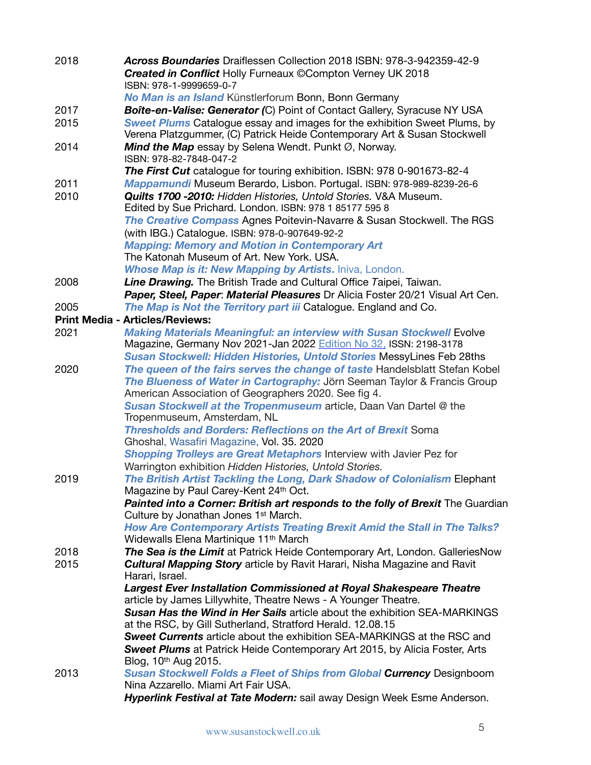| 2018         | Across Boundaries Draiflessen Collection 2018 ISBN: 978-3-942359-42-9<br><b>Created in Conflict Holly Furneaux ©Compton Verney UK 2018</b><br>ISBN: 978-1-9999659-0-7                               |
|--------------|-----------------------------------------------------------------------------------------------------------------------------------------------------------------------------------------------------|
|              | No Man is an Island Künstlerforum Bonn, Bonn Germany                                                                                                                                                |
| 2017         | Boîte-en-Valise: Generator (C) Point of Contact Gallery, Syracuse NY USA                                                                                                                            |
| 2015         | Sweet Plums Catalogue essay and images for the exhibition Sweet Plums, by<br>Verena Platzgummer, (C) Patrick Heide Contemporary Art & Susan Stockwell                                               |
| 2014         | <b>Mind the Map</b> essay by Selena Wendt. Punkt $\emptyset$ , Norway.<br>ISBN: 978-82-7848-047-2                                                                                                   |
|              | The First Cut catalogue for touring exhibition. ISBN: 978 0-901673-82-4                                                                                                                             |
| 2011<br>2010 | Mappamundi Museum Berardo, Lisbon. Portugal. ISBN: 978-989-8239-26-6<br>Quilts 1700 -2010: Hidden Histories, Untold Stories. V&A Museum.<br>Edited by Sue Prichard. London. ISBN: 978 1 85177 595 8 |
|              | The Creative Compass Agnes Poitevin-Navarre & Susan Stockwell. The RGS<br>(with IBG.) Catalogue. ISBN: 978-0-907649-92-2                                                                            |
|              | <b>Mapping: Memory and Motion in Contemporary Art</b><br>The Katonah Museum of Art. New York, USA.                                                                                                  |
|              | Whose Map is it: New Mapping by Artists. Iniva, London.                                                                                                                                             |
| 2008         | Line Drawing. The British Trade and Cultural Office Taipei, Taiwan.                                                                                                                                 |
|              | Paper, Steel, Paper: Material Pleasures Dr Alicia Foster 20/21 Visual Art Cen.                                                                                                                      |
| 2005         | The Map is Not the Territory part iii Catalogue. England and Co.                                                                                                                                    |
|              | <b>Print Media - Articles/Reviews:</b>                                                                                                                                                              |
| 2021         | <b>Making Materials Meaningful: an interview with Susan Stockwell Evolve</b><br>Magazine, Germany Nov 2021-Jan 2022 Edition No 32, ISSN: 2198-3178                                                  |
|              | Susan Stockwell: Hidden Histories, Untold Stories MessyLines Feb 28ths                                                                                                                              |
| 2020         | The queen of the fairs serves the change of taste Handelsblatt Stefan Kobel                                                                                                                         |
|              | The Blueness of Water in Cartography: Jörn Seeman Taylor & Francis Group<br>American Association of Geographers 2020. See fig 4.                                                                    |
|              | Susan Stockwell at the Tropenmuseum article, Daan Van Dartel @ the                                                                                                                                  |
|              | Tropenmuseum, Amsterdam, NL<br><b>Thresholds and Borders: Reflections on the Art of Brexit Soma</b>                                                                                                 |
|              | Ghoshal, Wasafiri Magazine, Vol. 35. 2020                                                                                                                                                           |
|              | Shopping Trolleys are Great Metaphors Interview with Javier Pez for                                                                                                                                 |
|              | Warrington exhibition Hidden Histories, Untold Stories.                                                                                                                                             |
| 2019         | The British Artist Tackling the Long, Dark Shadow of Colonialism Elephant<br>Magazine by Paul Carey-Kent 24th Oct.                                                                                  |
|              | Painted into a Corner: British art responds to the folly of Brexit The Guardian                                                                                                                     |
|              | Culture by Jonathan Jones 1 <sup>st</sup> March.                                                                                                                                                    |
|              | How Are Contemporary Artists Treating Brexit Amid the Stall in The Talks?<br>Widewalls Elena Martinique 11 <sup>th</sup> March                                                                      |
| 2018         | <b>The Sea is the Limit at Patrick Heide Contemporary Art, London. GalleriesNow</b>                                                                                                                 |
| 2015         | <b>Cultural Mapping Story</b> article by Ravit Harari, Nisha Magazine and Ravit<br>Harari, Israel.                                                                                                  |
|              | Largest Ever Installation Commissioned at Royal Shakespeare Theatre                                                                                                                                 |
|              | article by James Lillywhite, Theatre News - A Younger Theatre.                                                                                                                                      |
|              | <b>Susan Has the Wind in Her Sails</b> article about the exhibition SEA-MARKINGS<br>at the RSC, by Gill Sutherland, Stratford Herald. 12.08.15                                                      |
|              | <b>Sweet Currents</b> article about the exhibition SEA-MARKINGS at the RSC and                                                                                                                      |
|              | Sweet Plums at Patrick Heide Contemporary Art 2015, by Alicia Foster, Arts<br>Blog, 10 <sup>th</sup> Aug 2015.                                                                                      |
| 2013         | Susan Stockwell Folds a Fleet of Ships from Global Currency Designboom<br>Nina Azzarello. Miami Art Fair USA.                                                                                       |
|              | Hyperlink Festival at Tate Modern: sail away Design Week Esme Anderson.                                                                                                                             |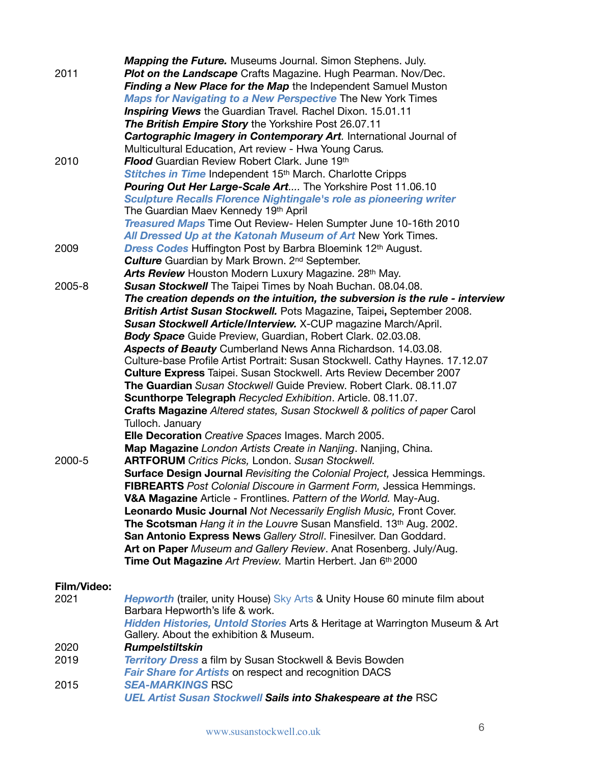| 2011                | <b>Mapping the Future.</b> Museums Journal. Simon Stephens. July.<br><b>Plot on the Landscape</b> Crafts Magazine. Hugh Pearman. Nov/Dec.<br>Finding a New Place for the Map the Independent Samuel Muston<br><b>Maps for Navigating to a New Perspective The New York Times</b><br><b>Inspiring Views</b> the Guardian Travel. Rachel Dixon. 15.01.11<br>The British Empire Story the Yorkshire Post 26.07.11<br>Cartographic Imagery in Contemporary Art. International Journal of<br>Multicultural Education, Art review - Hwa Young Carus.                                                                                                                                                                                                                                                                                                                                                                                                                                                                                                                                                                                                                                                                                                                                                                                                                                                                                                                                                                                                                                                                      |
|---------------------|---------------------------------------------------------------------------------------------------------------------------------------------------------------------------------------------------------------------------------------------------------------------------------------------------------------------------------------------------------------------------------------------------------------------------------------------------------------------------------------------------------------------------------------------------------------------------------------------------------------------------------------------------------------------------------------------------------------------------------------------------------------------------------------------------------------------------------------------------------------------------------------------------------------------------------------------------------------------------------------------------------------------------------------------------------------------------------------------------------------------------------------------------------------------------------------------------------------------------------------------------------------------------------------------------------------------------------------------------------------------------------------------------------------------------------------------------------------------------------------------------------------------------------------------------------------------------------------------------------------------|
| 2010                | <b>Flood</b> Guardian Review Robert Clark, June 19th<br>Stitches in Time Independent 15th March. Charlotte Cripps<br>Pouring Out Her Large-Scale Art The Yorkshire Post 11.06.10<br><b>Sculpture Recalls Florence Nightingale's role as pioneering writer</b><br>The Guardian Maev Kennedy 19th April<br><b>Treasured Maps Time Out Review- Helen Sumpter June 10-16th 2010</b><br>All Dressed Up at the Katonah Museum of Art New York Times.                                                                                                                                                                                                                                                                                                                                                                                                                                                                                                                                                                                                                                                                                                                                                                                                                                                                                                                                                                                                                                                                                                                                                                      |
| 2009                | <b>Dress Codes Huffington Post by Barbra Bloemink 12th August.</b><br><b>Culture</b> Guardian by Mark Brown. 2 <sup>nd</sup> September.<br>Arts Review Houston Modern Luxury Magazine. 28th May.                                                                                                                                                                                                                                                                                                                                                                                                                                                                                                                                                                                                                                                                                                                                                                                                                                                                                                                                                                                                                                                                                                                                                                                                                                                                                                                                                                                                                    |
| 2005-8<br>2000-5    | Susan Stockwell The Taipei Times by Noah Buchan. 08.04.08.<br>The creation depends on the intuition, the subversion is the rule - interview<br>British Artist Susan Stockwell. Pots Magazine, Taipei, September 2008.<br>Susan Stockwell Article/Interview. X-CUP magazine March/April.<br><b>Body Space</b> Guide Preview, Guardian, Robert Clark. 02.03.08.<br>Aspects of Beauty Cumberland News Anna Richardson. 14.03.08.<br>Culture-base Profile Artist Portrait: Susan Stockwell. Cathy Haynes. 17.12.07<br><b>Culture Express Taipei. Susan Stockwell. Arts Review December 2007</b><br>The Guardian Susan Stockwell Guide Preview. Robert Clark. 08.11.07<br>Scunthorpe Telegraph Recycled Exhibition. Article. 08.11.07.<br><b>Crafts Magazine</b> Altered states, Susan Stockwell & politics of paper Carol<br>Tulloch. January<br>Elle Decoration Creative Spaces Images. March 2005.<br>Map Magazine London Artists Create in Nanjing. Nanjing, China.<br><b>ARTFORUM</b> Critics Picks, London. Susan Stockwell.<br>Surface Design Journal Revisiting the Colonial Project, Jessica Hemmings.<br><b>FIBREARTS</b> Post Colonial Discoure in Garment Form, Jessica Hemmings.<br>V&A Magazine Article - Frontlines. Pattern of the World. May-Aug.<br>Leonardo Music Journal Not Necessarily English Music, Front Cover.<br>The Scotsman Hang it in the Louvre Susan Mansfield. 13th Aug. 2002.<br>San Antonio Express News Gallery Stroll. Finesilver. Dan Goddard.<br>Art on Paper Museum and Gallery Review. Anat Rosenberg. July/Aug.<br>Time Out Magazine Art Preview. Martin Herbert. Jan 6th 2000 |
| Film/Video:<br>2021 | Hepworth (trailer, unity House) Sky Arts & Unity House 60 minute film about<br>Barbara Hepworth's life & work.<br>Hidden Histories, Untold Stories Arts & Heritage at Warrington Museum & Art                                                                                                                                                                                                                                                                                                                                                                                                                                                                                                                                                                                                                                                                                                                                                                                                                                                                                                                                                                                                                                                                                                                                                                                                                                                                                                                                                                                                                       |
| 2020<br>2019        | Gallery. About the exhibition & Museum.<br><b>Rumpelstiltskin</b><br><b>Territory Dress a film by Susan Stockwell &amp; Bevis Bowden</b>                                                                                                                                                                                                                                                                                                                                                                                                                                                                                                                                                                                                                                                                                                                                                                                                                                                                                                                                                                                                                                                                                                                                                                                                                                                                                                                                                                                                                                                                            |
| 2015                | <b>Fair Share for Artists on respect and recognition DACS</b><br><b>SEA-MARKINGS RSC</b><br>UEL Artist Susan Stockwell Sails into Shakespeare at the RSC                                                                                                                                                                                                                                                                                                                                                                                                                                                                                                                                                                                                                                                                                                                                                                                                                                                                                                                                                                                                                                                                                                                                                                                                                                                                                                                                                                                                                                                            |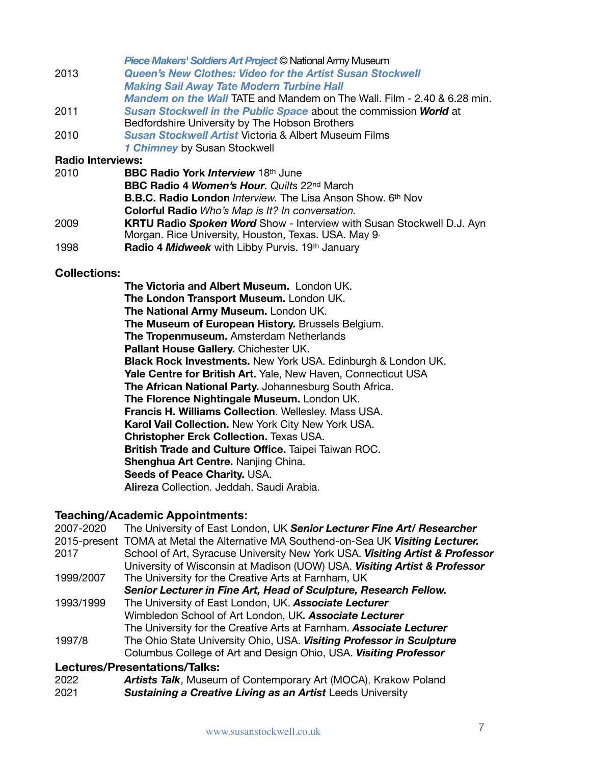| <b>Piece Makers' Soldiers Art Project © National Army Museum</b>        |
|-------------------------------------------------------------------------|
| <b>Queen's New Clothes: Video for the Artist Susan Stockwell</b>        |
| <b>Making Sail Away Tate Modern Turbine Hall</b>                        |
| Mandem on the Wall TATE and Mandem on The Wall. Film - 2.40 & 6.28 min. |
|                                                                         |

- 2011 *[Susan Stockwell in the Public Space](https://vimeo.com/19638449)* about the commission *World* at Bedfordshire University by The Hobson Brothers
- 2010 **[Susan Stockwell Artist](https://www.youtube.com/watch?v=RZXrKseoi6U)** Victoria & Albert Museum Films *[1 Chimney](https://vimeo.com/manage/videos/103919134)* by Susan Stockwell

#### **Radio Interviews:**

| 2010 | <b>BBC Radio York Interview 18th June</b>                             |
|------|-----------------------------------------------------------------------|
|      | <b>BBC Radio 4 Women's Hour.</b> Quilts 22 <sup>nd</sup> March        |
|      | <b>B.B.C. Radio London</b> Interview. The Lisa Anson Show. 6th Nov    |
|      | <b>Colorful Radio</b> Who's Map is It? In conversation.               |
| 2009 | KRTU Radio Spoken Word Show - Interview with Susan Stockwell D.J. Ayn |
|      | Morgan. Rice University, Houston, Texas. USA. May 9                   |
| 1998 | <b>Radio 4 Midweek</b> with Libby Purvis. 19th January                |

#### **Collections:**

 **The Victoria and Albert Museum.** London UK. **The London Transport Museum.** London UK. **The National Army Museum.** London UK. **The Museum of European History.** Brussels Belgium. **The Tropenmuseum.** Amsterdam Netherlands **Pallant House Gallery.** Chichester UK. **Black Rock Investments.** New York USA. Edinburgh & London UK. **Yale Centre for British Art.** Yale, New Haven, Connecticut USA **The African National Party.** Johannesburg South Africa. **The Florence Nightingale Museum.** London UK. **Francis H. Williams Collection**. Wellesley. Mass USA. **Karol Vail Collection.** New York City New York USA. **Christopher Erck Collection.** Texas USA. **British Trade and Culture Office.** Taipei Taiwan ROC. **Shenghua Art Centre.** Nanjing China. **Seeds of Peace Charity.** USA. **Alireza** Collection. Jeddah. Saudi Arabia.

### **Teaching/Academic Appointments:**

| 2007-2020 | The University of East London, UK Senior Lecturer Fine Art/ Researcher              |
|-----------|-------------------------------------------------------------------------------------|
|           | 2015-present TOMA at Metal the Alternative MA Southend-on-Sea UK Visiting Lecturer. |
| 2017      | School of Art, Syracuse University New York USA. Visiting Artist & Professor        |
|           | University of Wisconsin at Madison (UOW) USA. Visiting Artist & Professor           |
| 1999/2007 | The University for the Creative Arts at Farnham, UK                                 |
|           | Senior Lecturer in Fine Art, Head of Sculpture, Research Fellow.                    |
| 1993/1999 | The University of East London, UK. Associate Lecturer                               |
|           | Wimbledon School of Art London, UK. Associate Lecturer                              |
|           | The University for the Creative Arts at Farnham. Associate Lecturer                 |
| 1997/8    | The Ohio State University Ohio, USA. Visiting Professor in Sculpture                |
|           | Columbus College of Art and Design Ohio, USA. Visiting Professor                    |
|           | Lectures/Presentations/Talks:                                                       |
| 2022      | <b>Artists Talk, Museum of Contemporary Art (MOCA), Krakow Poland</b>               |

2021 *Sustaining a Creative Living as an Artist* Leeds University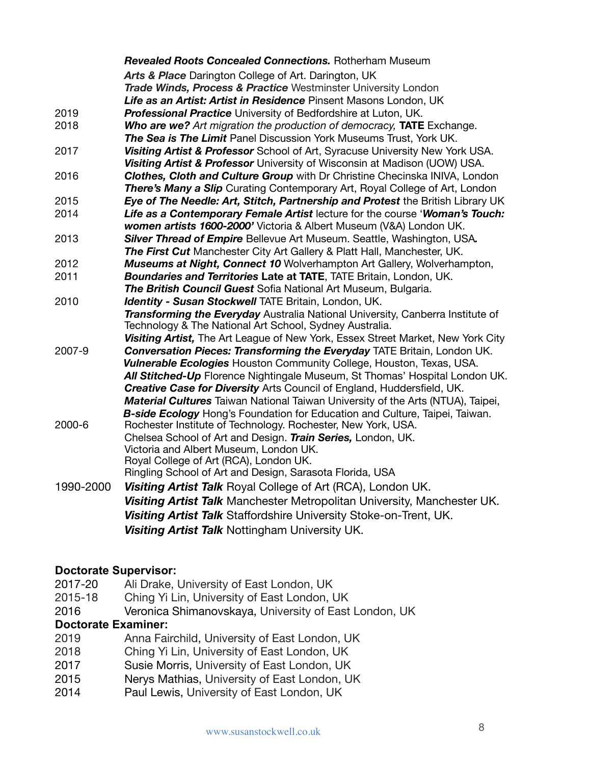|           | <b>Revealed Roots Concealed Connections.</b> Rotherham Museum                                                                               |
|-----------|---------------------------------------------------------------------------------------------------------------------------------------------|
|           | Arts & Place Darington College of Art. Darington, UK                                                                                        |
|           | Trade Winds, Process & Practice Westminster University London                                                                               |
|           | Life as an Artist: Artist in Residence Pinsent Masons London, UK                                                                            |
| 2019      | <b>Professional Practice</b> University of Bedfordshire at Luton, UK.                                                                       |
| 2018      | <b>Who are we?</b> Art migration the production of democracy, <b>TATE</b> Exchange.                                                         |
|           | The Sea is The Limit Panel Discussion York Museums Trust, York UK.                                                                          |
| 2017      | Visiting Artist & Professor School of Art, Syracuse University New York USA.                                                                |
|           | Visiting Artist & Professor University of Wisconsin at Madison (UOW) USA.                                                                   |
| 2016      | Clothes, Cloth and Culture Group with Dr Christine Checinska INIVA, London                                                                  |
|           | There's Many a Slip Curating Contemporary Art, Royal College of Art, London                                                                 |
| 2015      | Eye of The Needle: Art, Stitch, Partnership and Protest the British Library UK                                                              |
| 2014      | Life as a Contemporary Female Artist lecture for the course 'Woman's Touch:                                                                 |
|           | women artists 1600-2000' Victoria & Albert Museum (V&A) London UK.                                                                          |
| 2013      | Silver Thread of Empire Bellevue Art Museum. Seattle, Washington, USA.                                                                      |
|           | The First Cut Manchester City Art Gallery & Platt Hall, Manchester, UK.                                                                     |
| 2012      | Museums at Night, Connect 10 Wolverhampton Art Gallery, Wolverhampton,                                                                      |
| 2011      | Boundaries and Territories Late at TATE, TATE Britain, London, UK.                                                                          |
|           | The British Council Guest Sofia National Art Museum, Bulgaria.                                                                              |
| 2010      | Identity - Susan Stockwell TATE Britain, London, UK.                                                                                        |
|           | Transforming the Everyday Australia National University, Canberra Institute of                                                              |
|           | Technology & The National Art School, Sydney Australia.                                                                                     |
|           | Visiting Artist, The Art League of New York, Essex Street Market, New York City                                                             |
| 2007-9    | Conversation Pieces: Transforming the Everyday TATE Britain, London UK.                                                                     |
|           | <b>Vulnerable Ecologies</b> Houston Community College, Houston, Texas, USA.                                                                 |
|           | All Stitched-Up Florence Nightingale Museum, St Thomas' Hospital London UK.                                                                 |
|           | Creative Case for Diversity Arts Council of England, Huddersfield, UK.                                                                      |
|           | Material Cultures Taiwan National Taiwan University of the Arts (NTUA), Taipei,                                                             |
| 2000-6    | B-side Ecology Hong's Foundation for Education and Culture, Taipei, Taiwan.<br>Rochester Institute of Technology. Rochester, New York, USA. |
|           | Chelsea School of Art and Design. Train Series, London, UK.                                                                                 |
|           | Victoria and Albert Museum, London UK.                                                                                                      |
|           | Royal College of Art (RCA), London UK.                                                                                                      |
|           | Ringling School of Art and Design, Sarasota Florida, USA                                                                                    |
| 1990-2000 | Visiting Artist Talk Royal College of Art (RCA), London UK.                                                                                 |
|           | Visiting Artist Talk Manchester Metropolitan University, Manchester UK.                                                                     |
|           | Visiting Artist Talk Staffordshire University Stoke-on-Trent, UK.                                                                           |
|           | Visiting Artist Talk Nottingham University UK.                                                                                              |
|           |                                                                                                                                             |

### **Doctorate Supervisor:**

- 2017-20 Ali Drake, University of East London, UK
- 2015-18 Ching Yi Lin, University of East London, UK
- 2016 Veronica Shimanovskaya, University of East London, UK

### **Doctorate Examiner:**

- 2019 Anna Fairchild, University of East London, UK
- 2018 Ching Yi Lin, University of East London, UK
- 2017 Susie Morris, University of East London, UK
- 2015 Nerys Mathias, University of East London, UK
- 2014 Paul Lewis, University of East London, UK